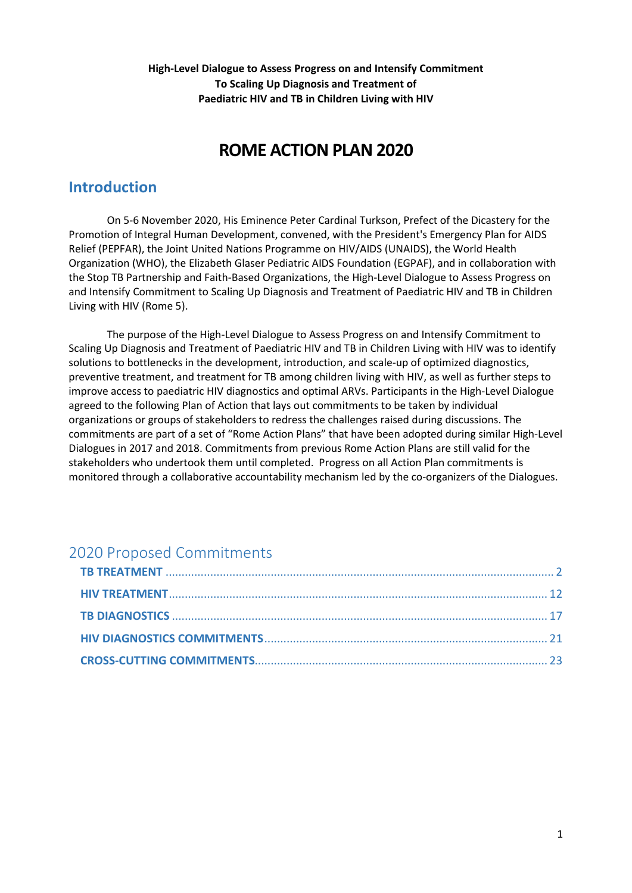**High-Level Dialogue to Assess Progress on and Intensify Commitment To Scaling Up Diagnosis and Treatment of Paediatric HIV and TB in Children Living with HIV**

# **ROME ACTION PLAN 2020**

# **Introduction**

On 5-6 November 2020, His Eminence Peter Cardinal Turkson, Prefect of the Dicastery for the Promotion of Integral Human Development, convened, with the President's Emergency Plan for AIDS Relief (PEPFAR), the Joint United Nations Programme on HIV/AIDS (UNAIDS), the World Health Organization (WHO), the Elizabeth Glaser Pediatric AIDS Foundation (EGPAF), and in collaboration with the Stop TB Partnership and Faith-Based Organizations, the High-Level Dialogue to Assess Progress on and Intensify Commitment to Scaling Up Diagnosis and Treatment of Paediatric HIV and TB in Children Living with HIV (Rome 5).

The purpose of the High-Level Dialogue to Assess Progress on and Intensify Commitment to Scaling Up Diagnosis and Treatment of Paediatric HIV and TB in Children Living with HIV was to identify solutions to bottlenecks in the development, introduction, and scale-up of optimized diagnostics, preventive treatment, and treatment for TB among children living with HIV, as well as further steps to improve access to paediatric HIV diagnostics and optimal ARVs. Participants in the High-Level Dialogue agreed to the following Plan of Action that lays out commitments to be taken by individual organizations or groups of stakeholders to redress the challenges raised during discussions. The commitments are part of a set of "Rome Action Plans" that have been adopted during similar High-Level Dialogues in 2017 and 2018. Commitments from previous Rome Action Plans are still valid for the stakeholders who undertook them until completed. Progress on all Action Plan commitments is monitored through a collaborative accountability mechanism led by the co-organizers of the Dialogues.

# 2020 Proposed Commitments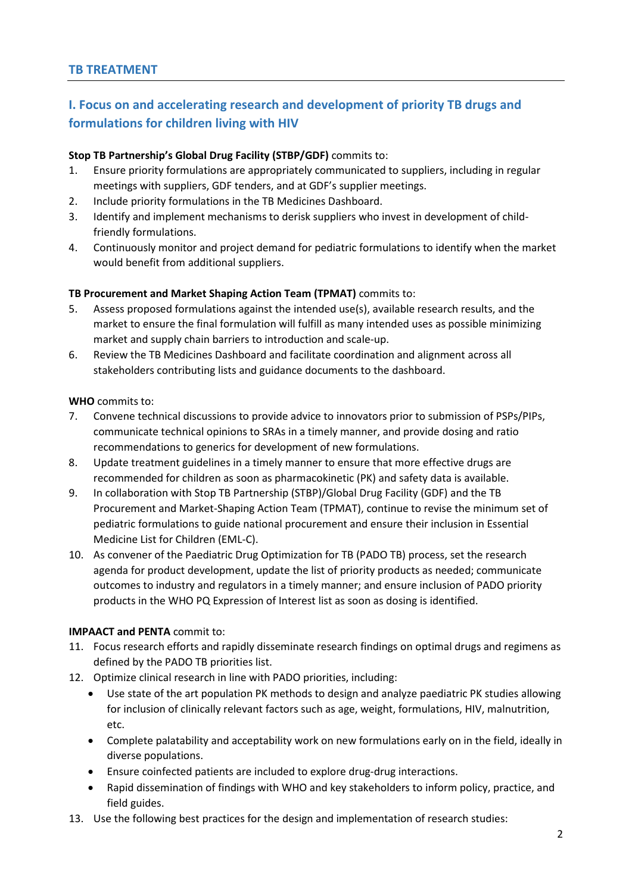# <span id="page-1-0"></span>**I. Focus on and accelerating research and development of priority TB drugs and formulations for children living with HIV**

### **Stop TB Partnership's Global Drug Facility (STBP/GDF)** commits to:

- 1. Ensure priority formulations are appropriately communicated to suppliers, including in regular meetings with suppliers, GDF tenders, and at GDF's supplier meetings.
- 2. Include priority formulations in the TB Medicines Dashboard.
- 3. Identify and implement mechanisms to derisk suppliers who invest in development of childfriendly formulations.
- 4. Continuously monitor and project demand for pediatric formulations to identify when the market would benefit from additional suppliers.

## **TB Procurement and Market Shaping Action Team (TPMAT)** commits to:

- 5. Assess proposed formulations against the intended use(s), available research results, and the market to ensure the final formulation will fulfill as many intended uses as possible minimizing market and supply chain barriers to introduction and scale-up.
- 6. Review the TB Medicines Dashboard and facilitate coordination and alignment across all stakeholders contributing lists and guidance documents to the dashboard.

## **WHO** commits to:

- 7. Convene technical discussions to provide advice to innovators prior to submission of PSPs/PIPs, communicate technical opinions to SRAs in a timely manner, and provide dosing and ratio recommendations to generics for development of new formulations.
- 8. Update treatment guidelines in a timely manner to ensure that more effective drugs are recommended for children as soon as pharmacokinetic (PK) and safety data is available.
- 9. In collaboration with Stop TB Partnership (STBP)/Global Drug Facility (GDF) and the TB Procurement and Market-Shaping Action Team (TPMAT), continue to revise the minimum set of pediatric formulations to guide national procurement and ensure their inclusion in Essential Medicine List for Children (EML-C).
- 10. As convener of the Paediatric Drug Optimization for TB (PADO TB) process, set the research agenda for product development, update the list of priority products as needed; communicate outcomes to industry and regulators in a timely manner; and ensure inclusion of PADO priority products in the WHO PQ Expression of Interest list as soon as dosing is identified.

# **IMPAACT and PENTA** commit to:

- 11. Focus research efforts and rapidly disseminate research findings on optimal drugs and regimens as defined by the PADO TB priorities list.
- 12. Optimize clinical research in line with PADO priorities, including:
	- Use state of the art population PK methods to design and analyze paediatric PK studies allowing for inclusion of clinically relevant factors such as age, weight, formulations, HIV, malnutrition, etc.
	- Complete palatability and acceptability work on new formulations early on in the field, ideally in diverse populations.
	- Ensure coinfected patients are included to explore drug-drug interactions.
	- Rapid dissemination of findings with WHO and key stakeholders to inform policy, practice, and field guides.
- 13. Use the following best practices for the design and implementation of research studies: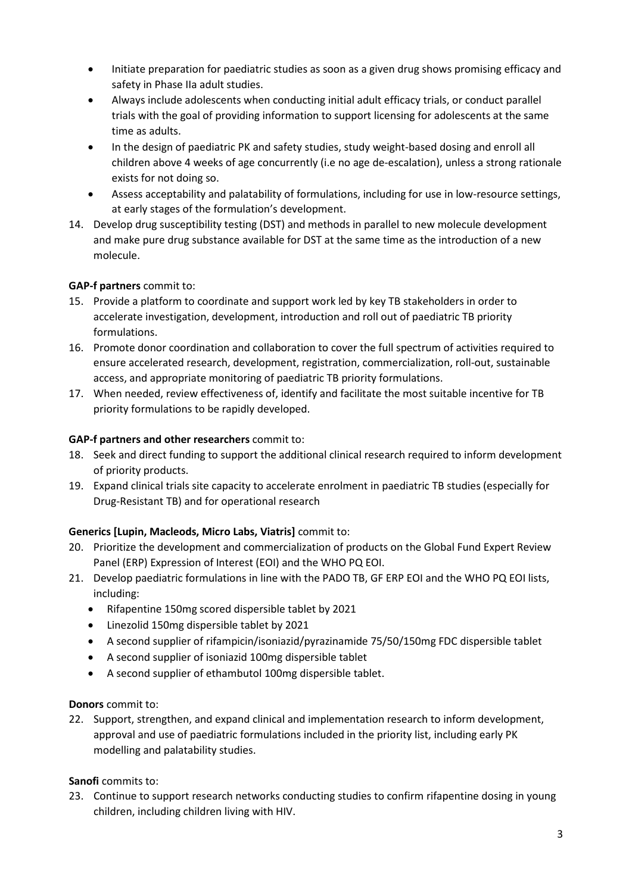- Initiate preparation for paediatric studies as soon as a given drug shows promising efficacy and safety in Phase IIa adult studies.
- Always include adolescents when conducting initial adult efficacy trials, or conduct parallel trials with the goal of providing information to support licensing for adolescents at the same time as adults.
- In the design of paediatric PK and safety studies, study weight-based dosing and enroll all children above 4 weeks of age concurrently (i.e no age de-escalation), unless a strong rationale exists for not doing so.
- Assess acceptability and palatability of formulations, including for use in low-resource settings, at early stages of the formulation's development.
- 14. Develop drug susceptibility testing (DST) and methods in parallel to new molecule development and make pure drug substance available for DST at the same time as the introduction of a new molecule.

## **GAP-f partners** commit to:

- 15. Provide a platform to coordinate and support work led by key TB stakeholders in order to accelerate investigation, development, introduction and roll out of paediatric TB priority formulations.
- 16. Promote donor coordination and collaboration to cover the full spectrum of activities required to ensure accelerated research, development, registration, commercialization, roll-out, sustainable access, and appropriate monitoring of paediatric TB priority formulations.
- 17. When needed, review effectiveness of, identify and facilitate the most suitable incentive for TB priority formulations to be rapidly developed.

## **GAP-f partners and other researchers** commit to:

- 18. Seek and direct funding to support the additional clinical research required to inform development of priority products.
- 19. Expand clinical trials site capacity to accelerate enrolment in paediatric TB studies (especially for Drug-Resistant TB) and for operational research

# **Generics [Lupin, Macleods, Micro Labs, Viatris]** commit to:

- 20. Prioritize the development and commercialization of products on the Global Fund Expert Review Panel (ERP) Expression of Interest (EOI) and the WHO PQ EOI.
- 21. Develop paediatric formulations in line with the PADO TB, GF ERP EOI and the WHO PQ EOI lists, including:
	- Rifapentine 150mg scored dispersible tablet by 2021
	- Linezolid 150mg dispersible tablet by 2021
	- A second supplier of rifampicin/isoniazid/pyrazinamide 75/50/150mg FDC dispersible tablet
	- A second supplier of isoniazid 100mg dispersible tablet
	- A second supplier of ethambutol 100mg dispersible tablet.

### **Donors** commit to:

22. Support, strengthen, and expand clinical and implementation research to inform development, approval and use of paediatric formulations included in the priority list, including early PK modelling and palatability studies.

### **Sanofi** commits to:

23. Continue to support research networks conducting studies to confirm rifapentine dosing in young children, including children living with HIV.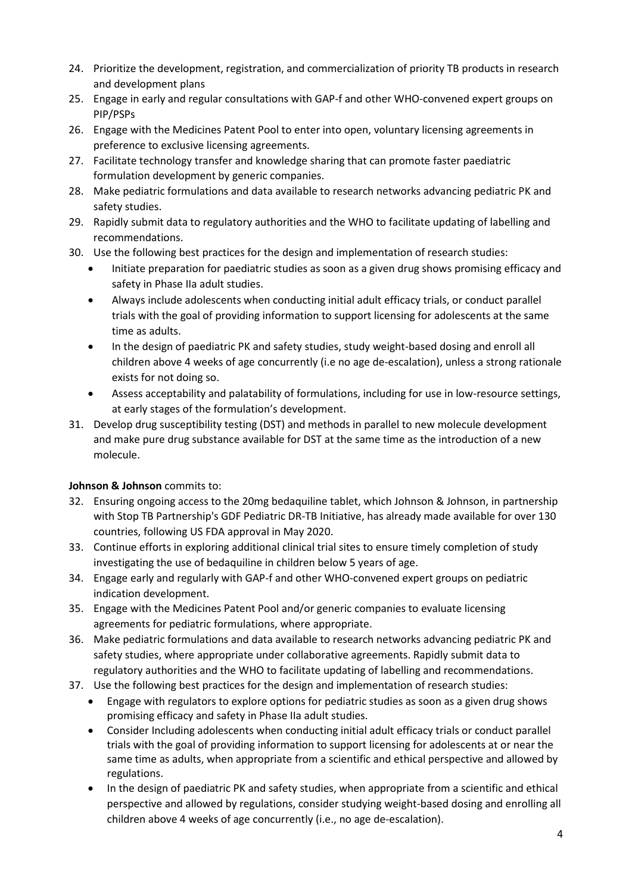- 24. Prioritize the development, registration, and commercialization of priority TB products in research and development plans
- 25. Engage in early and regular consultations with GAP-f and other WHO-convened expert groups on PIP/PSPs
- 26. Engage with the Medicines Patent Pool to enter into open, voluntary licensing agreements in preference to exclusive licensing agreements.
- 27. Facilitate technology transfer and knowledge sharing that can promote faster paediatric formulation development by generic companies.
- 28. Make pediatric formulations and data available to research networks advancing pediatric PK and safety studies.
- 29. Rapidly submit data to regulatory authorities and the WHO to facilitate updating of labelling and recommendations.
- 30. Use the following best practices for the design and implementation of research studies:
	- Initiate preparation for paediatric studies as soon as a given drug shows promising efficacy and safety in Phase IIa adult studies.
	- Always include adolescents when conducting initial adult efficacy trials, or conduct parallel trials with the goal of providing information to support licensing for adolescents at the same time as adults.
	- In the design of paediatric PK and safety studies, study weight-based dosing and enroll all children above 4 weeks of age concurrently (i.e no age de-escalation), unless a strong rationale exists for not doing so.
	- Assess acceptability and palatability of formulations, including for use in low-resource settings, at early stages of the formulation's development.
- 31. Develop drug susceptibility testing (DST) and methods in parallel to new molecule development and make pure drug substance available for DST at the same time as the introduction of a new molecule.

# **Johnson & Johnson** commits to:

- 32. Ensuring ongoing access to the 20mg bedaquiline tablet, which Johnson & Johnson, in partnership with Stop TB Partnership's GDF Pediatric DR-TB Initiative, has already made available for over 130 countries, following US FDA approval in May 2020.
- 33. Continue efforts in exploring additional clinical trial sites to ensure timely completion of study investigating the use of bedaquiline in children below 5 years of age.
- 34. Engage early and regularly with GAP-f and other WHO-convened expert groups on pediatric indication development.
- 35. Engage with the Medicines Patent Pool and/or generic companies to evaluate licensing agreements for pediatric formulations, where appropriate.
- 36. Make pediatric formulations and data available to research networks advancing pediatric PK and safety studies, where appropriate under collaborative agreements. Rapidly submit data to regulatory authorities and the WHO to facilitate updating of labelling and recommendations.
- 37. Use the following best practices for the design and implementation of research studies:
	- Engage with regulators to explore options for pediatric studies as soon as a given drug shows promising efficacy and safety in Phase IIa adult studies.
	- Consider Including adolescents when conducting initial adult efficacy trials or conduct parallel trials with the goal of providing information to support licensing for adolescents at or near the same time as adults, when appropriate from a scientific and ethical perspective and allowed by regulations.
	- In the design of paediatric PK and safety studies, when appropriate from a scientific and ethical perspective and allowed by regulations, consider studying weight-based dosing and enrolling all children above 4 weeks of age concurrently (i.e., no age de-escalation).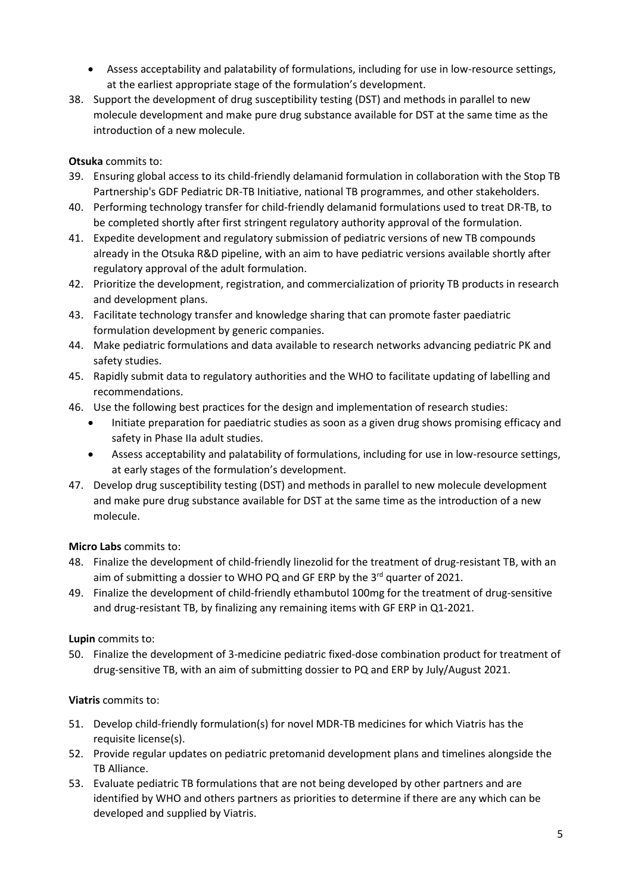- Assess acceptability and palatability of formulations, including for use in low-resource settings, at the earliest appropriate stage of the formulation's development.
- 38. Support the development of drug susceptibility testing (DST) and methods in parallel to new molecule development and make pure drug substance available for DST at the same time as the introduction of a new molecule.

## **Otsuka** commits to:

- 39. Ensuring global access to its child-friendly delamanid formulation in collaboration with the Stop TB Partnership's GDF Pediatric DR-TB Initiative, national TB programmes, and other stakeholders.
- 40. Performing technology transfer for child-friendly delamanid formulations used to treat DR-TB, to be completed shortly after first stringent regulatory authority approval of the formulation.
- 41. Expedite development and regulatory submission of pediatric versions of new TB compounds already in the Otsuka R&D pipeline, with an aim to have pediatric versions available shortly after regulatory approval of the adult formulation.
- 42. Prioritize the development, registration, and commercialization of priority TB products in research and development plans.
- 43. Facilitate technology transfer and knowledge sharing that can promote faster paediatric formulation development by generic companies.
- 44. Make pediatric formulations and data available to research networks advancing pediatric PK and safety studies.
- 45. Rapidly submit data to regulatory authorities and the WHO to facilitate updating of labelling and recommendations.
- 46. Use the following best practices for the design and implementation of research studies:
	- Initiate preparation for paediatric studies as soon as a given drug shows promising efficacy and safety in Phase IIa adult studies.
	- Assess acceptability and palatability of formulations, including for use in low-resource settings, at early stages of the formulation's development.
- 47. Develop drug susceptibility testing (DST) and methods in parallel to new molecule development and make pure drug substance available for DST at the same time as the introduction of a new molecule.

# **Micro Labs** commits to:

- 48. Finalize the development of child-friendly linezolid for the treatment of drug-resistant TB, with an aim of submitting a dossier to WHO PQ and GF ERP by the  $3<sup>rd</sup>$  quarter of 2021.
- 49. Finalize the development of child-friendly ethambutol 100mg for the treatment of drug-sensitive and drug-resistant TB, by finalizing any remaining items with GF ERP in Q1-2021.

# **Lupin** commits to:

50. Finalize the development of 3-medicine pediatric fixed-dose combination product for treatment of drug-sensitive TB, with an aim of submitting dossier to PQ and ERP by July/August 2021.

# **Viatris** commits to:

- 51. Develop child-friendly formulation(s) for novel MDR-TB medicines for which Viatris has the requisite license(s).
- 52. Provide regular updates on pediatric pretomanid development plans and timelines alongside the TB Alliance.
- 53. Evaluate pediatric TB formulations that are not being developed by other partners and are identified by WHO and others partners as priorities to determine if there are any which can be developed and supplied by Viatris.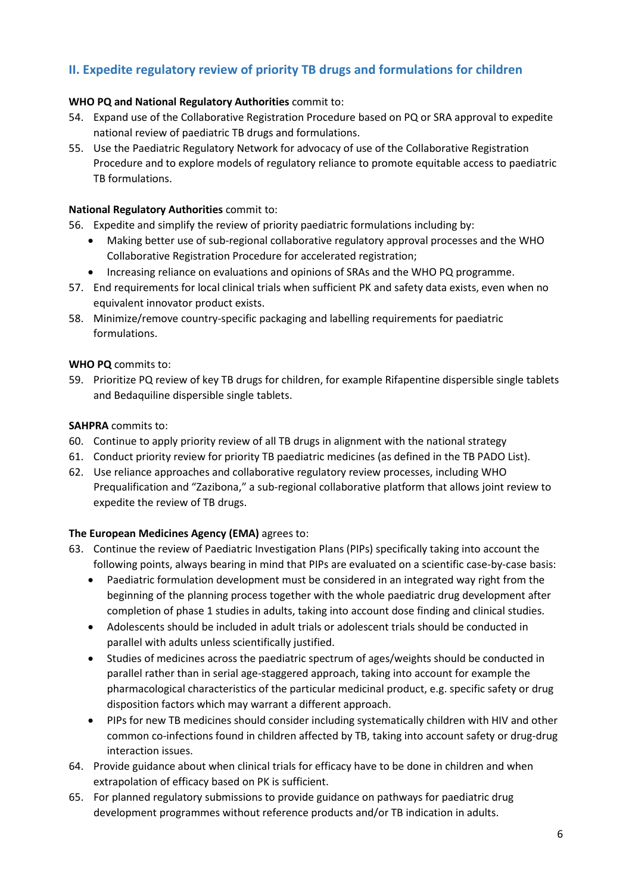# **II. Expedite regulatory review of priority TB drugs and formulations for children**

### **WHO PQ and National Regulatory Authorities** commit to:

- 54. Expand use of the Collaborative Registration Procedure based on PQ or SRA approval to expedite national review of paediatric TB drugs and formulations.
- 55. Use the Paediatric Regulatory Network for advocacy of use of the Collaborative Registration Procedure and to explore models of regulatory reliance to promote equitable access to paediatric TB formulations.

#### **National Regulatory Authorities** commit to:

56. Expedite and simplify the review of priority paediatric formulations including by:

- Making better use of sub-regional collaborative regulatory approval processes and the WHO Collaborative Registration Procedure for accelerated registration;
- Increasing reliance on evaluations and opinions of SRAs and the WHO PQ programme.
- 57. End requirements for local clinical trials when sufficient PK and safety data exists, even when no equivalent innovator product exists.
- 58. Minimize/remove country-specific packaging and labelling requirements for paediatric formulations.

#### **WHO PQ** commits to:

59. Prioritize PQ review of key TB drugs for children, for example Rifapentine dispersible single tablets and Bedaquiline dispersible single tablets.

#### **SAHPRA** commits to:

- 60. Continue to apply priority review of all TB drugs in alignment with the national strategy
- 61. Conduct priority review for priority TB paediatric medicines (as defined in the TB PADO List).
- 62. Use reliance approaches and collaborative regulatory review processes, including WHO Prequalification and "Zazibona," a sub-regional collaborative platform that allows joint review to expedite the review of TB drugs.

### **The European Medicines Agency (EMA)** agrees to:

- 63. Continue the review of Paediatric Investigation Plans (PIPs) specifically taking into account the following points, always bearing in mind that PIPs are evaluated on a scientific case-by-case basis:
	- Paediatric formulation development must be considered in an integrated way right from the beginning of the planning process together with the whole paediatric drug development after completion of phase 1 studies in adults, taking into account dose finding and clinical studies.
	- Adolescents should be included in adult trials or adolescent trials should be conducted in parallel with adults unless scientifically justified.
	- Studies of medicines across the paediatric spectrum of ages/weights should be conducted in parallel rather than in serial age-staggered approach, taking into account for example the pharmacological characteristics of the particular medicinal product, e.g. specific safety or drug disposition factors which may warrant a different approach.
	- PIPs for new TB medicines should consider including systematically children with HIV and other common co-infections found in children affected by TB, taking into account safety or drug-drug interaction issues.
- 64. Provide guidance about when clinical trials for efficacy have to be done in children and when extrapolation of efficacy based on PK is sufficient.
- 65. For planned regulatory submissions to provide guidance on pathways for paediatric drug development programmes without reference products and/or TB indication in adults.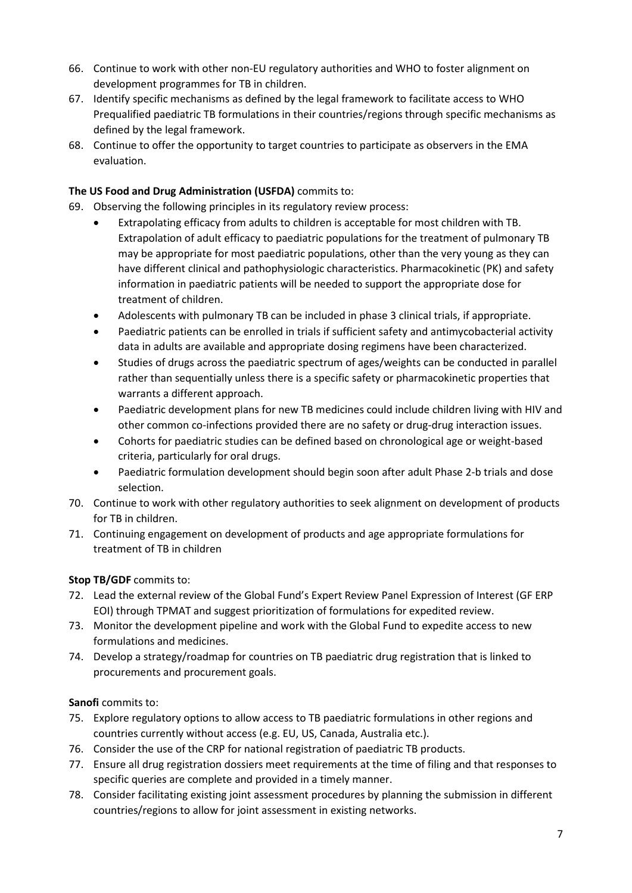- 66. Continue to work with other non-EU regulatory authorities and WHO to foster alignment on development programmes for TB in children.
- 67. Identify specific mechanisms as defined by the legal framework to facilitate access to WHO Prequalified paediatric TB formulations in their countries/regions through specific mechanisms as defined by the legal framework.
- 68. Continue to offer the opportunity to target countries to participate as observers in the EMA evaluation.

# **The US Food and Drug Administration (USFDA)** commits to:

- 69. Observing the following principles in its regulatory review process:
	- Extrapolating efficacy from adults to children is acceptable for most children with TB. Extrapolation of adult efficacy to paediatric populations for the treatment of pulmonary TB may be appropriate for most paediatric populations, other than the very young as they can have different clinical and pathophysiologic characteristics. Pharmacokinetic (PK) and safety information in paediatric patients will be needed to support the appropriate dose for treatment of children.
	- Adolescents with pulmonary TB can be included in phase 3 clinical trials, if appropriate.
	- Paediatric patients can be enrolled in trials if sufficient safety and antimycobacterial activity data in adults are available and appropriate dosing regimens have been characterized.
	- Studies of drugs across the paediatric spectrum of ages/weights can be conducted in parallel rather than sequentially unless there is a specific safety or pharmacokinetic properties that warrants a different approach.
	- Paediatric development plans for new TB medicines could include children living with HIV and other common co-infections provided there are no safety or drug-drug interaction issues.
	- Cohorts for paediatric studies can be defined based on chronological age or weight-based criteria, particularly for oral drugs.
	- Paediatric formulation development should begin soon after adult Phase 2-b trials and dose selection.
- 70. Continue to work with other regulatory authorities to seek alignment on development of products for TB in children.
- 71. Continuing engagement on development of products and age appropriate formulations for treatment of TB in children

### **Stop TB/GDF** commits to:

- 72. Lead the external review of the Global Fund's Expert Review Panel Expression of Interest (GF ERP EOI) through TPMAT and suggest prioritization of formulations for expedited review.
- 73. Monitor the development pipeline and work with the Global Fund to expedite access to new formulations and medicines.
- 74. Develop a strategy/roadmap for countries on TB paediatric drug registration that is linked to procurements and procurement goals.

### **Sanofi** commits to:

- 75. Explore regulatory options to allow access to TB paediatric formulations in other regions and countries currently without access (e.g. EU, US, Canada, Australia etc.).
- 76. Consider the use of the CRP for national registration of paediatric TB products.
- 77. Ensure all drug registration dossiers meet requirements at the time of filing and that responses to specific queries are complete and provided in a timely manner.
- 78. Consider facilitating existing joint assessment procedures by planning the submission in different countries/regions to allow for joint assessment in existing networks.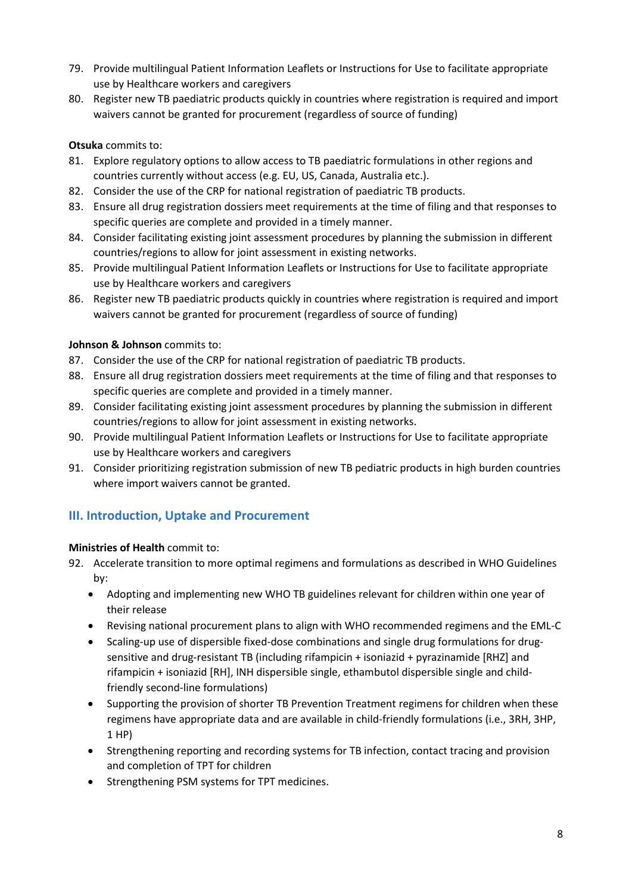- 79. Provide multilingual Patient Information Leaflets or Instructions for Use to facilitate appropriate use by Healthcare workers and caregivers
- 80. Register new TB paediatric products quickly in countries where registration is required and import waivers cannot be granted for procurement (regardless of source of funding)

## **Otsuka** commits to:

- 81. Explore regulatory options to allow access to TB paediatric formulations in other regions and countries currently without access (e.g. EU, US, Canada, Australia etc.).
- 82. Consider the use of the CRP for national registration of paediatric TB products.
- 83. Ensure all drug registration dossiers meet requirements at the time of filing and that responses to specific queries are complete and provided in a timely manner.
- 84. Consider facilitating existing joint assessment procedures by planning the submission in different countries/regions to allow for joint assessment in existing networks.
- 85. Provide multilingual Patient Information Leaflets or Instructions for Use to facilitate appropriate use by Healthcare workers and caregivers
- 86. Register new TB paediatric products quickly in countries where registration is required and import waivers cannot be granted for procurement (regardless of source of funding)

## **Johnson & Johnson** commits to:

- 87. Consider the use of the CRP for national registration of paediatric TB products.
- 88. Ensure all drug registration dossiers meet requirements at the time of filing and that responses to specific queries are complete and provided in a timely manner.
- 89. Consider facilitating existing joint assessment procedures by planning the submission in different countries/regions to allow for joint assessment in existing networks.
- 90. Provide multilingual Patient Information Leaflets or Instructions for Use to facilitate appropriate use by Healthcare workers and caregivers
- 91. Consider prioritizing registration submission of new TB pediatric products in high burden countries where import waivers cannot be granted.

# **III. Introduction, Uptake and Procurement**

### **Ministries of Health** commit to:

- 92. Accelerate transition to more optimal regimens and formulations as described in WHO Guidelines by:
	- Adopting and implementing new WHO TB guidelines relevant for children within one year of their release
	- Revising national procurement plans to align with WHO recommended regimens and the EML-C
	- Scaling-up use of dispersible fixed-dose combinations and single drug formulations for drugsensitive and drug-resistant TB (including rifampicin + isoniazid + pyrazinamide [RHZ] and rifampicin + isoniazid [RH], INH dispersible single, ethambutol dispersible single and childfriendly second-line formulations)
	- Supporting the provision of shorter TB Prevention Treatment regimens for children when these regimens have appropriate data and are available in child-friendly formulations (i.e., 3RH, 3HP, 1 HP)
	- Strengthening reporting and recording systems for TB infection, contact tracing and provision and completion of TPT for children
	- Strengthening PSM systems for TPT medicines.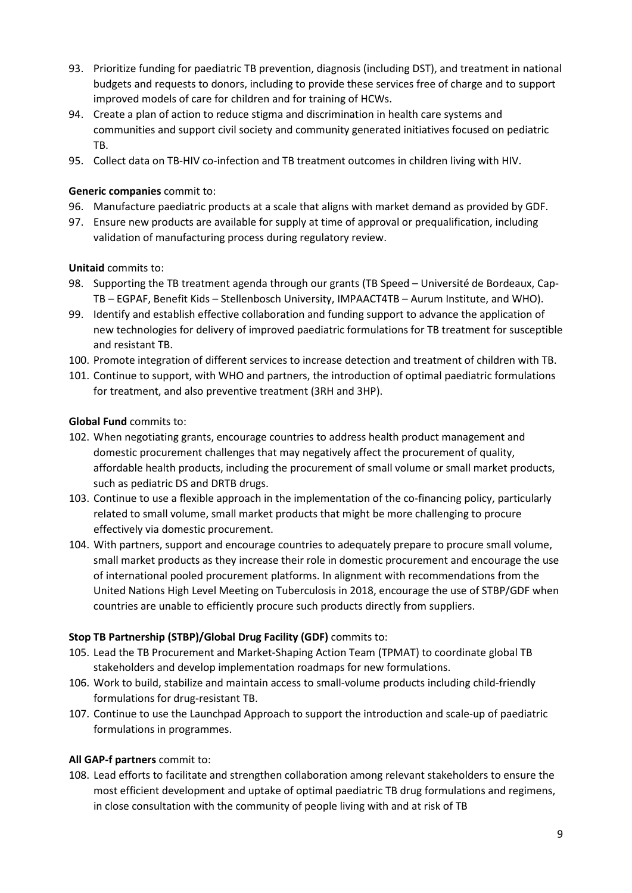- 93. Prioritize funding for paediatric TB prevention, diagnosis (including DST), and treatment in national budgets and requests to donors, including to provide these services free of charge and to support improved models of care for children and for training of HCWs.
- 94. Create a plan of action to reduce stigma and discrimination in health care systems and communities and support civil society and community generated initiatives focused on pediatric TB.
- 95. Collect data on TB-HIV co-infection and TB treatment outcomes in children living with HIV.

#### **Generic companies** commit to:

- 96. Manufacture paediatric products at a scale that aligns with market demand as provided by GDF.
- 97. Ensure new products are available for supply at time of approval or prequalification, including validation of manufacturing process during regulatory review.

#### **Unitaid** commits to:

- 98. Supporting the TB treatment agenda through our grants (TB Speed Université de Bordeaux, Cap-TB – EGPAF, Benefit Kids – Stellenbosch University, IMPAACT4TB – Aurum Institute, and WHO).
- 99. Identify and establish effective collaboration and funding support to advance the application of new technologies for delivery of improved paediatric formulations for TB treatment for susceptible and resistant TB.
- 100. Promote integration of different services to increase detection and treatment of children with TB.
- 101. Continue to support, with WHO and partners, the introduction of optimal paediatric formulations for treatment, and also preventive treatment (3RH and 3HP).

#### **Global Fund** commits to:

- 102. When negotiating grants, encourage countries to address health product management and domestic procurement challenges that may negatively affect the procurement of quality, affordable health products, including the procurement of small volume or small market products, such as pediatric DS and DRTB drugs.
- 103. Continue to use a flexible approach in the implementation of the co-financing policy, particularly related to small volume, small market products that might be more challenging to procure effectively via domestic procurement.
- 104. With partners, support and encourage countries to adequately prepare to procure small volume, small market products as they increase their role in domestic procurement and encourage the use of international pooled procurement platforms. In alignment with recommendations from the United Nations High Level Meeting on Tuberculosis in 2018, encourage the use of STBP/GDF when countries are unable to efficiently procure such products directly from suppliers.

### **Stop TB Partnership (STBP)/Global Drug Facility (GDF)** commits to:

- 105. Lead the TB Procurement and Market-Shaping Action Team (TPMAT) to coordinate global TB stakeholders and develop implementation roadmaps for new formulations.
- 106. Work to build, stabilize and maintain access to small-volume products including child-friendly formulations for drug-resistant TB.
- 107. Continue to use the Launchpad Approach to support the introduction and scale-up of paediatric formulations in programmes.

### **All GAP-f partners** commit to:

108. Lead efforts to facilitate and strengthen collaboration among relevant stakeholders to ensure the most efficient development and uptake of optimal paediatric TB drug formulations and regimens, in close consultation with the community of people living with and at risk of TB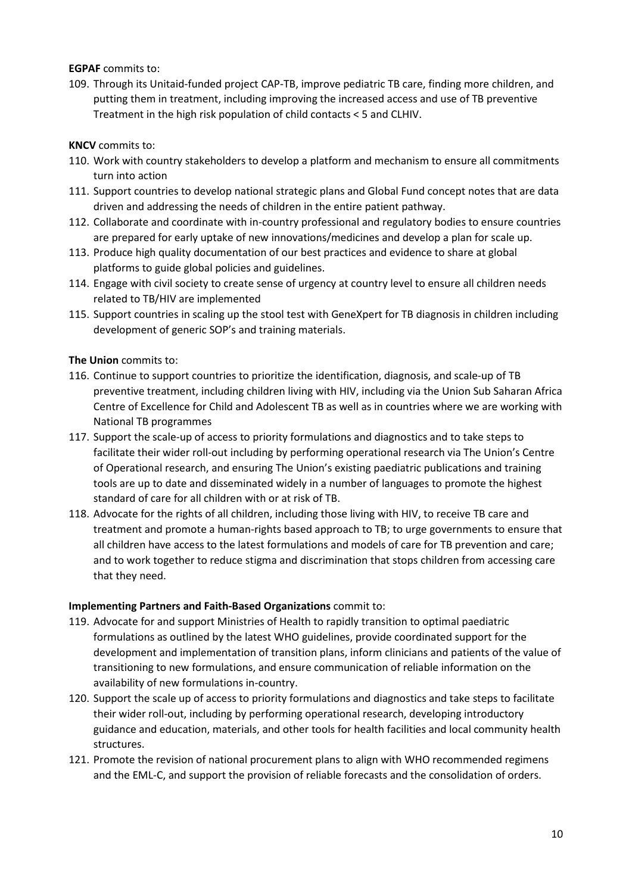**EGPAF** commits to:

109. Through its Unitaid-funded project CAP-TB, improve pediatric TB care, finding more children, and putting them in treatment, including improving the increased access and use of TB preventive Treatment in the high risk population of child contacts < 5 and CLHIV.

**KNCV** commits to:

- 110. Work with country stakeholders to develop a platform and mechanism to ensure all commitments turn into action
- 111. Support countries to develop national strategic plans and Global Fund concept notes that are data driven and addressing the needs of children in the entire patient pathway.
- 112. Collaborate and coordinate with in-country professional and regulatory bodies to ensure countries are prepared for early uptake of new innovations/medicines and develop a plan for scale up.
- 113. Produce high quality documentation of our best practices and evidence to share at global platforms to guide global policies and guidelines.
- 114. Engage with civil society to create sense of urgency at country level to ensure all children needs related to TB/HIV are implemented
- 115. Support countries in scaling up the stool test with GeneXpert for TB diagnosis in children including development of generic SOP's and training materials.

**The Union** commits to:

- 116. Continue to support countries to prioritize the identification, diagnosis, and scale-up of TB preventive treatment, including children living with HIV, including via the Union Sub Saharan Africa Centre of Excellence for Child and Adolescent TB as well as in countries where we are working with National TB programmes
- 117. Support the scale-up of access to priority formulations and diagnostics and to take steps to facilitate their wider roll-out including by performing operational research via The Union's Centre of Operational research, and ensuring The Union's existing paediatric publications and training tools are up to date and disseminated widely in a number of languages to promote the highest standard of care for all children with or at risk of TB.
- 118. Advocate for the rights of all children, including those living with HIV, to receive TB care and treatment and promote a human-rights based approach to TB; to urge governments to ensure that all children have access to the latest formulations and models of care for TB prevention and care; and to work together to reduce stigma and discrimination that stops children from accessing care that they need.

### **Implementing Partners and Faith-Based Organizations** commit to:

- 119. Advocate for and support Ministries of Health to rapidly transition to optimal paediatric formulations as outlined by the latest WHO guidelines, provide coordinated support for the development and implementation of transition plans, inform clinicians and patients of the value of transitioning to new formulations, and ensure communication of reliable information on the availability of new formulations in-country.
- 120. Support the scale up of access to priority formulations and diagnostics and take steps to facilitate their wider roll-out, including by performing operational research, developing introductory guidance and education, materials, and other tools for health facilities and local community health structures.
- 121. Promote the revision of national procurement plans to align with WHO recommended regimens and the EML-C, and support the provision of reliable forecasts and the consolidation of orders.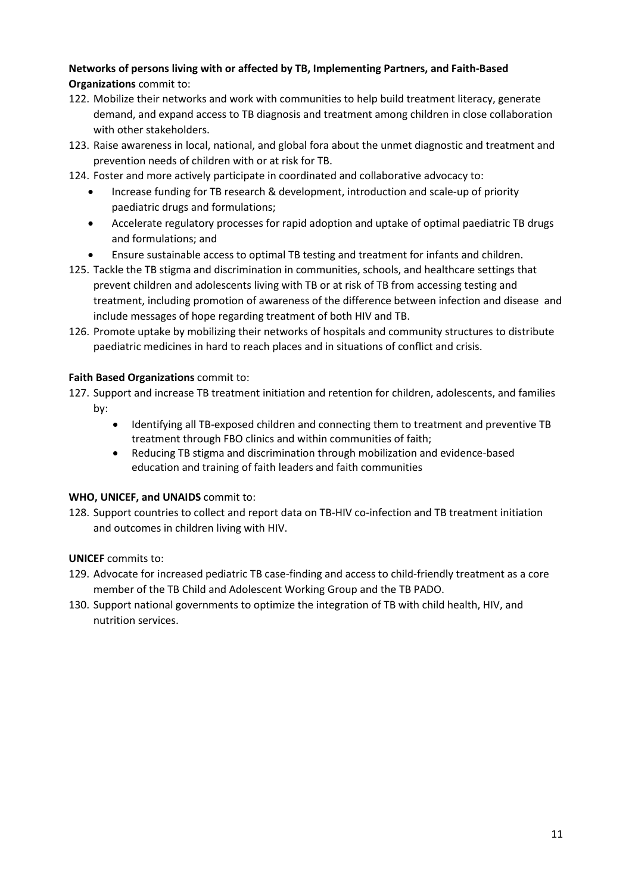## **Networks of persons living with or affected by TB, Implementing Partners, and Faith-Based Organizations** commit to:

- 122. Mobilize their networks and work with communities to help build treatment literacy, generate demand, and expand access to TB diagnosis and treatment among children in close collaboration with other stakeholders.
- 123. Raise awareness in local, national, and global fora about the unmet diagnostic and treatment and prevention needs of children with or at risk for TB.
- 124. Foster and more actively participate in coordinated and collaborative advocacy to:
	- Increase funding for TB research & development, introduction and scale-up of priority paediatric drugs and formulations;
	- Accelerate regulatory processes for rapid adoption and uptake of optimal paediatric TB drugs and formulations; and
	- Ensure sustainable access to optimal TB testing and treatment for infants and children.
- 125. Tackle the TB stigma and discrimination in communities, schools, and healthcare settings that prevent children and adolescents living with TB or at risk of TB from accessing testing and treatment, including promotion of awareness of the difference between infection and disease and include messages of hope regarding treatment of both HIV and TB.
- 126. Promote uptake by mobilizing their networks of hospitals and community structures to distribute paediatric medicines in hard to reach places and in situations of conflict and crisis.

### **Faith Based Organizations** commit to:

- 127. Support and increase TB treatment initiation and retention for children, adolescents, and families by:
	- Identifying all TB-exposed children and connecting them to treatment and preventive TB treatment through FBO clinics and within communities of faith;
	- Reducing TB stigma and discrimination through mobilization and evidence-based education and training of faith leaders and faith communities

#### **WHO, UNICEF, and UNAIDS** commit to:

128. Support countries to collect and report data on TB-HIV co-infection and TB treatment initiation and outcomes in children living with HIV.

#### **UNICEF** commits to:

- 129. Advocate for increased pediatric TB case-finding and access to child-friendly treatment as a core member of the TB Child and Adolescent Working Group and the TB PADO.
- <span id="page-10-0"></span>130. Support national governments to optimize the integration of TB with child health, HIV, and nutrition services.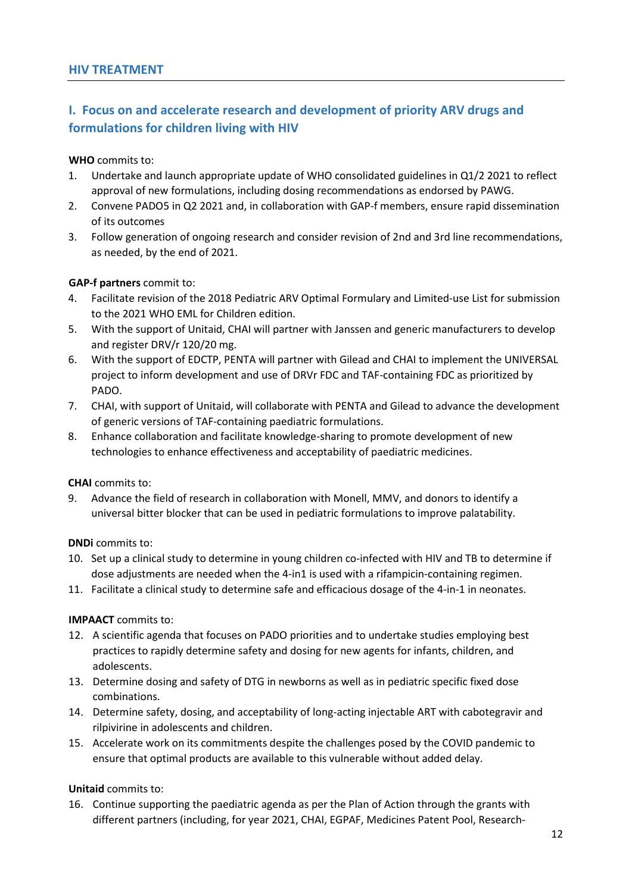# **I. Focus on and accelerate research and development of priority ARV drugs and formulations for children living with HIV**

#### **WHO** commits to:

- 1. Undertake and launch appropriate update of WHO consolidated guidelines in Q1/2 2021 to reflect approval of new formulations, including dosing recommendations as endorsed by PAWG.
- 2. Convene PADO5 in Q2 2021 and, in collaboration with GAP-f members, ensure rapid dissemination of its outcomes
- 3. Follow generation of ongoing research and consider revision of 2nd and 3rd line recommendations, as needed, by the end of 2021.

#### **GAP-f partners** commit to:

- 4. Facilitate revision of the 2018 Pediatric ARV Optimal Formulary and Limited-use List for submission to the 2021 WHO EML for Children edition.
- 5. With the support of Unitaid, CHAI will partner with Janssen and generic manufacturers to develop and register DRV/r 120/20 mg.
- 6. With the support of EDCTP, PENTA will partner with Gilead and CHAI to implement the UNIVERSAL project to inform development and use of DRVr FDC and TAF-containing FDC as prioritized by PADO.
- 7. CHAI, with support of Unitaid, will collaborate with PENTA and Gilead to advance the development of generic versions of TAF-containing paediatric formulations.
- 8. Enhance collaboration and facilitate knowledge-sharing to promote development of new technologies to enhance effectiveness and acceptability of paediatric medicines.

#### **CHAI** commits to:

9. Advance the field of research in collaboration with Monell, MMV, and donors to identify a universal bitter blocker that can be used in pediatric formulations to improve palatability.

**DNDi** commits to:

- 10. Set up a clinical study to determine in young children co-infected with HIV and TB to determine if dose adjustments are needed when the 4-in1 is used with a rifampicin-containing regimen.
- 11. Facilitate a clinical study to determine safe and efficacious dosage of the 4-in-1 in neonates.

### **IMPAACT** commits to:

- 12. A scientific agenda that focuses on PADO priorities and to undertake studies employing best practices to rapidly determine safety and dosing for new agents for infants, children, and adolescents.
- 13. Determine dosing and safety of DTG in newborns as well as in pediatric specific fixed dose combinations.
- 14. Determine safety, dosing, and acceptability of long-acting injectable ART with cabotegravir and rilpivirine in adolescents and children.
- 15. Accelerate work on its commitments despite the challenges posed by the COVID pandemic to ensure that optimal products are available to this vulnerable without added delay.

#### **Unitaid** commits to:

16. Continue supporting the paediatric agenda as per the Plan of Action through the grants with different partners (including, for year 2021, CHAI, EGPAF, Medicines Patent Pool, Research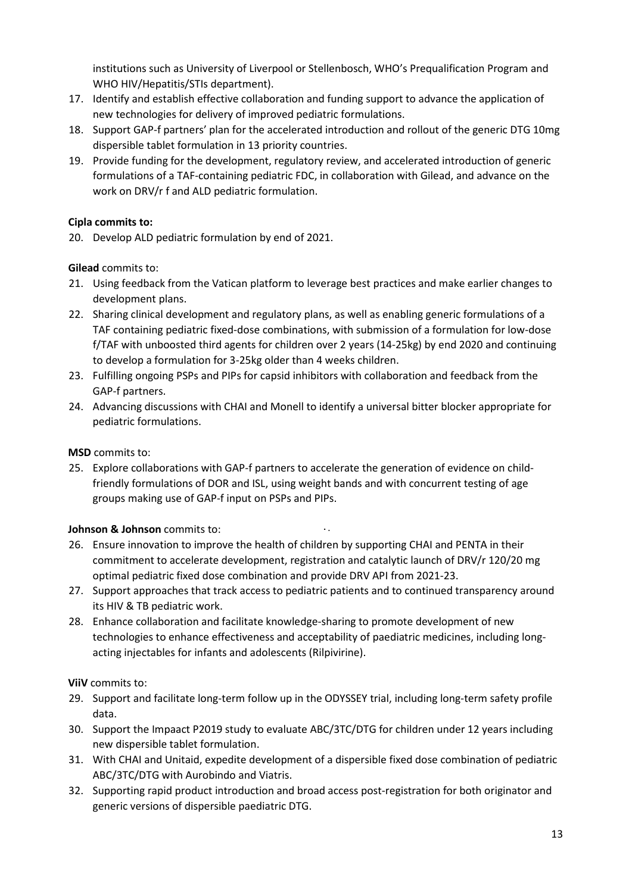institutions such as University of Liverpool or Stellenbosch, WHO's Prequalification Program and WHO HIV/Hepatitis/STIs department).

- 17. Identify and establish effective collaboration and funding support to advance the application of new technologies for delivery of improved pediatric formulations.
- 18. Support GAP-f partners' plan for the accelerated introduction and rollout of the generic DTG 10mg dispersible tablet formulation in 13 priority countries.
- 19. Provide funding for the development, regulatory review, and accelerated introduction of generic formulations of a TAF-containing pediatric FDC, in collaboration with Gilead, and advance on the work on DRV/r f and ALD pediatric formulation.

# **Cipla commits to:**

20. Develop ALD pediatric formulation by end of 2021.

## **Gilead** commits to:

- 21. Using feedback from the Vatican platform to leverage best practices and make earlier changes to development plans.
- 22. Sharing clinical development and regulatory plans, as well as enabling generic formulations of a TAF containing pediatric fixed-dose combinations, with submission of a formulation for low-dose f/TAF with unboosted third agents for children over 2 years (14-25kg) by end 2020 and continuing to develop a formulation for 3-25kg older than 4 weeks children.
- 23. Fulfilling ongoing PSPs and PIPs for capsid inhibitors with collaboration and feedback from the GAP-f partners.
- 24. Advancing discussions with CHAI and Monell to identify a universal bitter blocker appropriate for pediatric formulations.

### **MSD** commits to:

25. Explore collaborations with GAP-f partners to accelerate the generation of evidence on childfriendly formulations of DOR and ISL, using weight bands and with concurrent testing of age groups making use of GAP-f input on PSPs and PIPs.

### **Johnson & Johnson** commits to:

26. Ensure innovation to improve the health of children by supporting CHAI and PENTA in their commitment to accelerate development, registration and catalytic launch of DRV/r 120/20 mg optimal pediatric fixed dose combination and provide DRV API from 2021-23.

 $\ddot{\phantom{a}}$ 

- 27. Support approaches that track access to pediatric patients and to continued transparency around its HIV & TB pediatric work.
- 28. Enhance collaboration and facilitate knowledge-sharing to promote development of new technologies to enhance effectiveness and acceptability of paediatric medicines, including longacting injectables for infants and adolescents (Rilpivirine).

### **ViiV** commits to:

- 29. Support and facilitate long-term follow up in the ODYSSEY trial, including long-term safety profile data.
- 30. Support the Impaact P2019 study to evaluate ABC/3TC/DTG for children under 12 years including new dispersible tablet formulation.
- 31. With CHAI and Unitaid, expedite development of a dispersible fixed dose combination of pediatric ABC/3TC/DTG with Aurobindo and Viatris.
- 32. Supporting rapid product introduction and broad access post-registration for both originator and generic versions of dispersible paediatric DTG.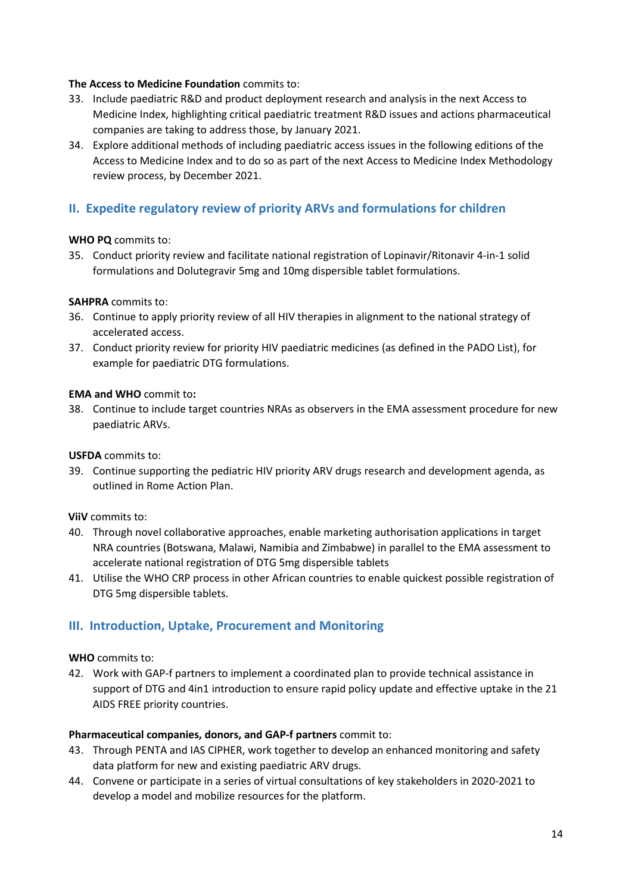#### **The Access to Medicine Foundation** commits to:

- 33. Include paediatric R&D and product deployment research and analysis in the next Access to Medicine Index, highlighting critical paediatric treatment R&D issues and actions pharmaceutical companies are taking to address those, by January 2021.
- 34. Explore additional methods of including paediatric access issues in the following editions of the Access to Medicine Index and to do so as part of the next Access to Medicine Index Methodology review process, by December 2021.

# **II. Expedite regulatory review of priority ARVs and formulations for children**

#### **WHO PQ** commits to:

35. Conduct priority review and facilitate national registration of Lopinavir/Ritonavir 4-in-1 solid formulations and Dolutegravir 5mg and 10mg dispersible tablet formulations.

#### **SAHPRA** commits to:

- 36. Continue to apply priority review of all HIV therapies in alignment to the national strategy of accelerated access.
- 37. Conduct priority review for priority HIV paediatric medicines (as defined in the PADO List), for example for paediatric DTG formulations.

### **EMA and WHO** commit to**:**

38. Continue to include target countries NRAs as observers in the EMA assessment procedure for new paediatric ARVs.

#### **USFDA** commits to:

39. Continue supporting the pediatric HIV priority ARV drugs research and development agenda, as outlined in Rome Action Plan.

### **ViiV** commits to:

- 40. Through novel collaborative approaches, enable marketing authorisation applications in target NRA countries (Botswana, Malawi, Namibia and Zimbabwe) in parallel to the EMA assessment to accelerate national registration of DTG 5mg dispersible tablets
- 41. Utilise the WHO CRP process in other African countries to enable quickest possible registration of DTG 5mg dispersible tablets.

# **III. Introduction, Uptake, Procurement and Monitoring**

#### **WHO** commits to:

42. Work with GAP-f partners to implement a coordinated plan to provide technical assistance in support of DTG and 4in1 introduction to ensure rapid policy update and effective uptake in the 21 AIDS FREE priority countries.

#### **Pharmaceutical companies, donors, and GAP-f partners** commit to:

- 43. Through PENTA and IAS CIPHER, work together to develop an enhanced monitoring and safety data platform for new and existing paediatric ARV drugs.
- 44. Convene or participate in a series of virtual consultations of key stakeholders in 2020-2021 to develop a model and mobilize resources for the platform.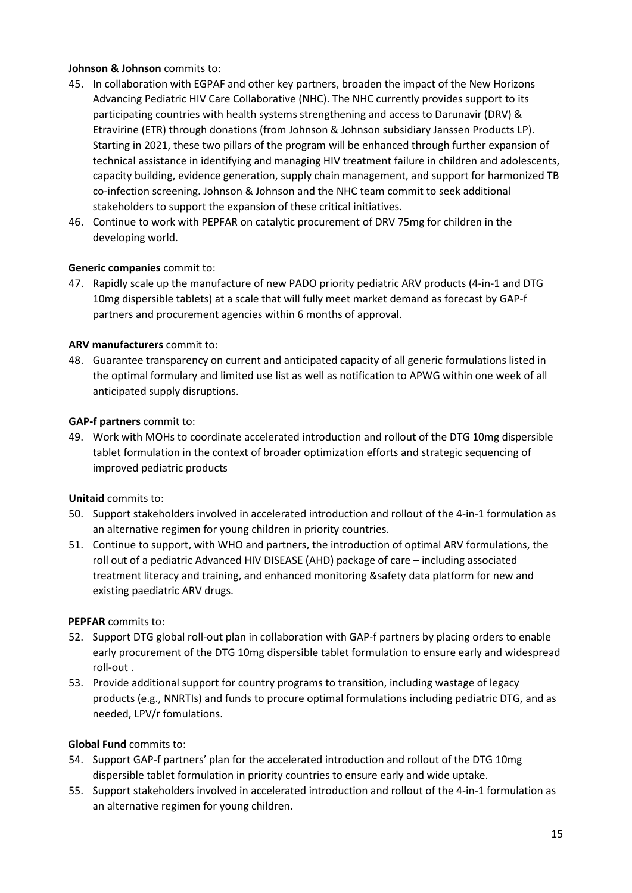### **Johnson & Johnson** commits to:

- 45. In collaboration with EGPAF and other key partners, broaden the impact of the New Horizons Advancing Pediatric HIV Care Collaborative (NHC). The NHC currently provides support to its participating countries with health systems strengthening and access to Darunavir (DRV) & Etravirine (ETR) through donations (from Johnson & Johnson subsidiary Janssen Products LP). Starting in 2021, these two pillars of the program will be enhanced through further expansion of technical assistance in identifying and managing HIV treatment failure in children and adolescents, capacity building, evidence generation, supply chain management, and support for harmonized TB co-infection screening. Johnson & Johnson and the NHC team commit to seek additional stakeholders to support the expansion of these critical initiatives.
- 46. Continue to work with PEPFAR on catalytic procurement of DRV 75mg for children in the developing world.

## **Generic companies** commit to:

47. Rapidly scale up the manufacture of new PADO priority pediatric ARV products (4-in-1 and DTG 10mg dispersible tablets) at a scale that will fully meet market demand as forecast by GAP-f partners and procurement agencies within 6 months of approval.

### **ARV manufacturers** commit to:

48. Guarantee transparency on current and anticipated capacity of all generic formulations listed in the optimal formulary and limited use list as well as notification to APWG within one week of all anticipated supply disruptions.

### **GAP-f partners** commit to:

49. Work with MOHs to coordinate accelerated introduction and rollout of the DTG 10mg dispersible tablet formulation in the context of broader optimization efforts and strategic sequencing of improved pediatric products

### **Unitaid** commits to:

- 50. Support stakeholders involved in accelerated introduction and rollout of the 4-in-1 formulation as an alternative regimen for young children in priority countries.
- 51. Continue to support, with WHO and partners, the introduction of optimal ARV formulations, the roll out of a pediatric Advanced HIV DISEASE (AHD) package of care – including associated treatment literacy and training, and enhanced monitoring &safety data platform for new and existing paediatric ARV drugs.

### **PEPFAR** commits to:

- 52. Support DTG global roll-out plan in collaboration with GAP-f partners by placing orders to enable early procurement of the DTG 10mg dispersible tablet formulation to ensure early and widespread roll-out .
- 53. Provide additional support for country programs to transition, including wastage of legacy products (e.g., NNRTIs) and funds to procure optimal formulations including pediatric DTG, and as needed, LPV/r fomulations.

### **Global Fund** commits to:

- 54. Support GAP-f partners' plan for the accelerated introduction and rollout of the DTG 10mg dispersible tablet formulation in priority countries to ensure early and wide uptake.
- 55. Support stakeholders involved in accelerated introduction and rollout of the 4-in-1 formulation as an alternative regimen for young children.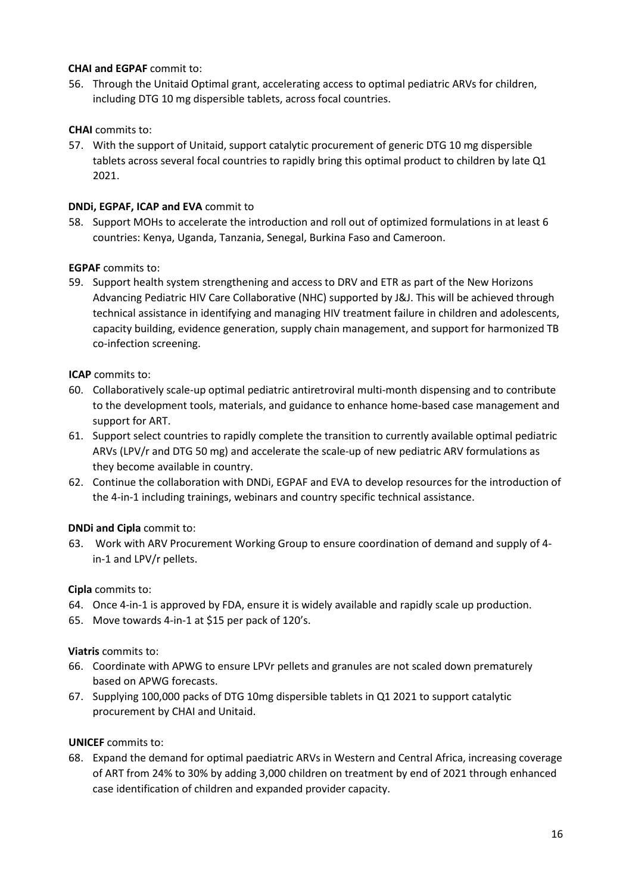### **CHAI and EGPAF** commit to:

56. Through the Unitaid Optimal grant, accelerating access to optimal pediatric ARVs for children, including DTG 10 mg dispersible tablets, across focal countries.

## **CHAI** commits to:

57. With the support of Unitaid, support catalytic procurement of generic DTG 10 mg dispersible tablets across several focal countries to rapidly bring this optimal product to children by late Q1 2021.

### **DNDi, EGPAF, ICAP and EVA** commit to

58. Support MOHs to accelerate the introduction and roll out of optimized formulations in at least 6 countries: Kenya, Uganda, Tanzania, Senegal, Burkina Faso and Cameroon.

### **EGPAF** commits to:

59. Support health system strengthening and access to DRV and ETR as part of the New Horizons Advancing Pediatric HIV Care Collaborative (NHC) supported by J&J. This will be achieved through technical assistance in identifying and managing HIV treatment failure in children and adolescents, capacity building, evidence generation, supply chain management, and support for harmonized TB co-infection screening.

### **ICAP** commits to:

- 60. Collaboratively scale-up optimal pediatric antiretroviral multi-month dispensing and to contribute to the development tools, materials, and guidance to enhance home-based case management and support for ART.
- 61. Support select countries to rapidly complete the transition to currently available optimal pediatric ARVs (LPV/r and DTG 50 mg) and accelerate the scale-up of new pediatric ARV formulations as they become available in country.
- 62. Continue the collaboration with DNDi, EGPAF and EVA to develop resources for the introduction of the 4-in-1 including trainings, webinars and country specific technical assistance.

### **DNDi and Cipla** commit to:

63. Work with ARV Procurement Working Group to ensure coordination of demand and supply of 4 in-1 and LPV/r pellets.

### **Cipla** commits to:

- 64. Once 4-in-1 is approved by FDA, ensure it is widely available and rapidly scale up production.
- 65. Move towards 4-in-1 at \$15 per pack of 120's.

# **Viatris** commits to:

- 66. Coordinate with APWG to ensure LPVr pellets and granules are not scaled down prematurely based on APWG forecasts.
- 67. Supplying 100,000 packs of DTG 10mg dispersible tablets in Q1 2021 to support catalytic procurement by CHAI and Unitaid.

### **UNICEF** commits to:

68. Expand the demand for optimal paediatric ARVs in Western and Central Africa, increasing coverage of ART from 24% to 30% by adding 3,000 children on treatment by end of 2021 through enhanced case identification of children and expanded provider capacity.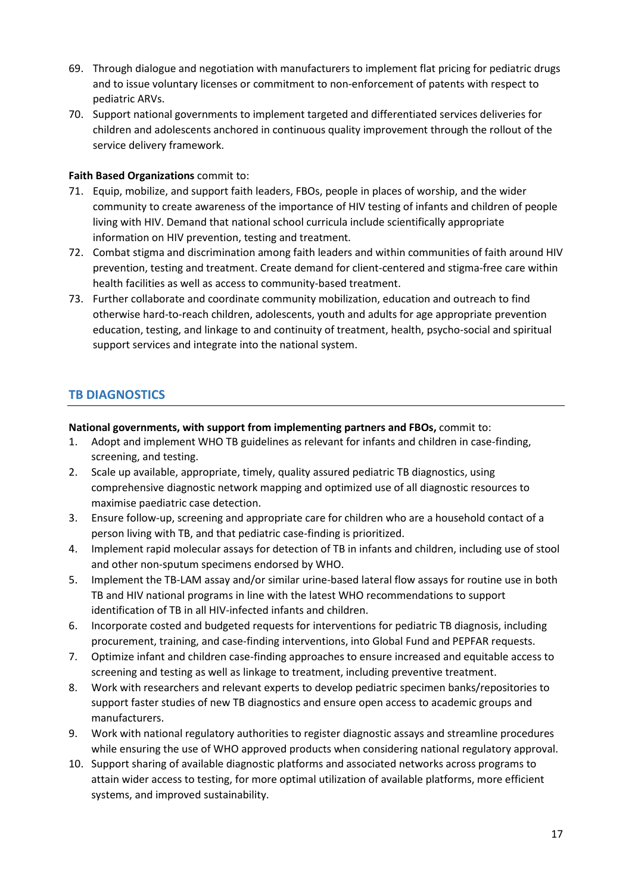- 69. Through dialogue and negotiation with manufacturers to implement flat pricing for pediatric drugs and to issue voluntary licenses or commitment to non-enforcement of patents with respect to pediatric ARVs.
- 70. Support national governments to implement targeted and differentiated services deliveries for children and adolescents anchored in continuous quality improvement through the rollout of the service delivery framework.

### **Faith Based Organizations** commit to:

- 71. Equip, mobilize, and support faith leaders, FBOs, people in places of worship, and the wider community to create awareness of the importance of HIV testing of infants and children of people living with HIV. Demand that national school curricula include scientifically appropriate information on HIV prevention, testing and treatment.
- 72. Combat stigma and discrimination among faith leaders and within communities of faith around HIV prevention, testing and treatment. Create demand for client-centered and stigma-free care within health facilities as well as access to community-based treatment.
- 73. Further collaborate and coordinate community mobilization, education and outreach to find otherwise hard-to-reach children, adolescents, youth and adults for age appropriate prevention education, testing, and linkage to and continuity of treatment, health, psycho-social and spiritual support services and integrate into the national system.

# <span id="page-16-0"></span>**TB DIAGNOSTICS**

#### **National governments, with support from implementing partners and FBOs,** commit to:

- 1. Adopt and implement WHO TB guidelines as relevant for infants and children in case-finding, screening, and testing.
- 2. Scale up available, appropriate, timely, quality assured pediatric TB diagnostics, using comprehensive diagnostic network mapping and optimized use of all diagnostic resources to maximise paediatric case detection.
- 3. Ensure follow-up, screening and appropriate care for children who are a household contact of a person living with TB, and that pediatric case-finding is prioritized.
- 4. Implement rapid molecular assays for detection of TB in infants and children, including use of stool and other non-sputum specimens endorsed by WHO.
- 5. Implement the TB-LAM assay and/or similar urine-based lateral flow assays for routine use in both TB and HIV national programs in line with the latest WHO recommendations to support identification of TB in all HIV-infected infants and children.
- 6. Incorporate costed and budgeted requests for interventions for pediatric TB diagnosis, including procurement, training, and case-finding interventions, into Global Fund and PEPFAR requests.
- 7. Optimize infant and children case-finding approaches to ensure increased and equitable access to screening and testing as well as linkage to treatment, including preventive treatment.
- 8. Work with researchers and relevant experts to develop pediatric specimen banks/repositories to support faster studies of new TB diagnostics and ensure open access to academic groups and manufacturers.
- 9. Work with national regulatory authorities to register diagnostic assays and streamline procedures while ensuring the use of WHO approved products when considering national regulatory approval.
- 10. Support sharing of available diagnostic platforms and associated networks across programs to attain wider access to testing, for more optimal utilization of available platforms, more efficient systems, and improved sustainability.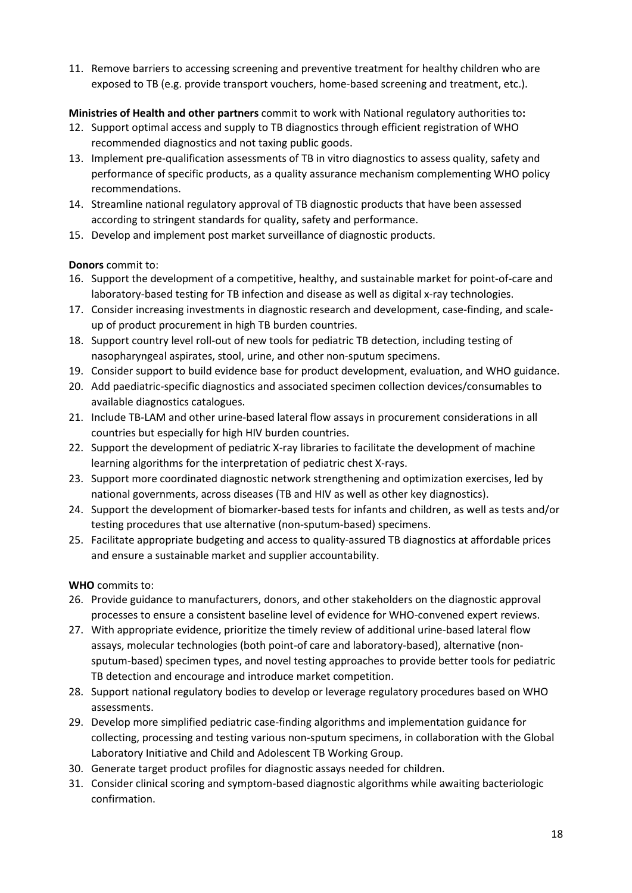11. Remove barriers to accessing screening and preventive treatment for healthy children who are exposed to TB (e.g. provide transport vouchers, home-based screening and treatment, etc.).

# **Ministries of Health and other partners** commit to work with National regulatory authorities to**:**

- 12. Support optimal access and supply to TB diagnostics through efficient registration of WHO recommended diagnostics and not taxing public goods.
- 13. Implement pre-qualification assessments of TB in vitro diagnostics to assess quality, safety and performance of specific products, as a quality assurance mechanism complementing WHO policy recommendations.
- 14. Streamline national regulatory approval of TB diagnostic products that have been assessed according to stringent standards for quality, safety and performance.
- 15. Develop and implement post market surveillance of diagnostic products.

## **Donors** commit to:

- 16. Support the development of a competitive, healthy, and sustainable market for point-of-care and laboratory-based testing for TB infection and disease as well as digital x-ray technologies.
- 17. Consider increasing investments in diagnostic research and development, case-finding, and scaleup of product procurement in high TB burden countries.
- 18. Support country level roll-out of new tools for pediatric TB detection, including testing of nasopharyngeal aspirates, stool, urine, and other non-sputum specimens.
- 19. Consider support to build evidence base for product development, evaluation, and WHO guidance.
- 20. Add paediatric-specific diagnostics and associated specimen collection devices/consumables to available diagnostics catalogues.
- 21. Include TB-LAM and other urine-based lateral flow assays in procurement considerations in all countries but especially for high HIV burden countries.
- 22. Support the development of pediatric X-ray libraries to facilitate the development of machine learning algorithms for the interpretation of pediatric chest X-rays.
- 23. Support more coordinated diagnostic network strengthening and optimization exercises, led by national governments, across diseases (TB and HIV as well as other key diagnostics).
- 24. Support the development of biomarker-based tests for infants and children, as well as tests and/or testing procedures that use alternative (non-sputum-based) specimens.
- 25. Facilitate appropriate budgeting and access to quality-assured TB diagnostics at affordable prices and ensure a sustainable market and supplier accountability.

**WHO** commits to:

- 26. Provide guidance to manufacturers, donors, and other stakeholders on the diagnostic approval processes to ensure a consistent baseline level of evidence for WHO-convened expert reviews.
- 27. With appropriate evidence, prioritize the timely review of additional urine-based lateral flow assays, molecular technologies (both point-of care and laboratory-based), alternative (nonsputum-based) specimen types, and novel testing approaches to provide better tools for pediatric TB detection and encourage and introduce market competition.
- 28. Support national regulatory bodies to develop or leverage regulatory procedures based on WHO assessments.
- 29. Develop more simplified pediatric case-finding algorithms and implementation guidance for collecting, processing and testing various non-sputum specimens, in collaboration with the Global Laboratory Initiative and Child and Adolescent TB Working Group.
- 30. Generate target product profiles for diagnostic assays needed for children.
- 31. Consider clinical scoring and symptom-based diagnostic algorithms while awaiting bacteriologic confirmation.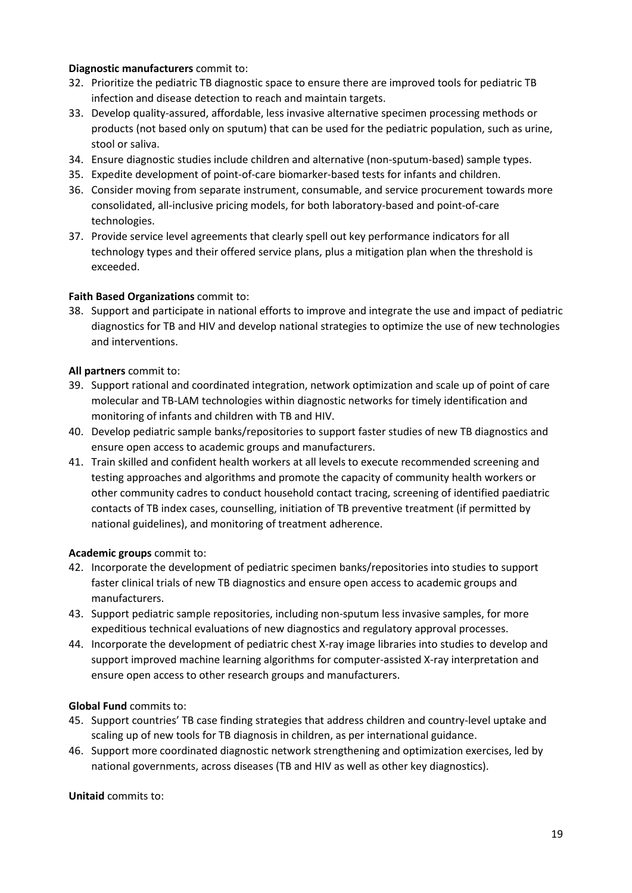#### **Diagnostic manufacturers** commit to:

- 32. Prioritize the pediatric TB diagnostic space to ensure there are improved tools for pediatric TB infection and disease detection to reach and maintain targets.
- 33. Develop quality-assured, affordable, less invasive alternative specimen processing methods or products (not based only on sputum) that can be used for the pediatric population, such as urine, stool or saliva.
- 34. Ensure diagnostic studies include children and alternative (non-sputum-based) sample types.
- 35. Expedite development of point-of-care biomarker-based tests for infants and children.
- 36. Consider moving from separate instrument, consumable, and service procurement towards more consolidated, all-inclusive pricing models, for both laboratory-based and point-of-care technologies.
- 37. Provide service level agreements that clearly spell out key performance indicators for all technology types and their offered service plans, plus a mitigation plan when the threshold is exceeded.

### **Faith Based Organizations** commit to:

38. Support and participate in national efforts to improve and integrate the use and impact of pediatric diagnostics for TB and HIV and develop national strategies to optimize the use of new technologies and interventions.

#### **All partners** commit to:

- 39. Support rational and coordinated integration, network optimization and scale up of point of care molecular and TB-LAM technologies within diagnostic networks for timely identification and monitoring of infants and children with TB and HIV.
- 40. Develop pediatric sample banks/repositories to support faster studies of new TB diagnostics and ensure open access to academic groups and manufacturers.
- 41. Train skilled and confident health workers at all levels to execute recommended screening and testing approaches and algorithms and promote the capacity of community health workers or other community cadres to conduct household contact tracing, screening of identified paediatric contacts of TB index cases, counselling, initiation of TB preventive treatment (if permitted by national guidelines), and monitoring of treatment adherence.

### **Academic groups** commit to:

- 42. Incorporate the development of pediatric specimen banks/repositories into studies to support faster clinical trials of new TB diagnostics and ensure open access to academic groups and manufacturers.
- 43. Support pediatric sample repositories, including non-sputum less invasive samples, for more expeditious technical evaluations of new diagnostics and regulatory approval processes.
- 44. Incorporate the development of pediatric chest X-ray image libraries into studies to develop and support improved machine learning algorithms for computer-assisted X-ray interpretation and ensure open access to other research groups and manufacturers.

### **Global Fund** commits to:

- 45. Support countries' TB case finding strategies that address children and country-level uptake and scaling up of new tools for TB diagnosis in children, as per international guidance.
- 46. Support more coordinated diagnostic network strengthening and optimization exercises, led by national governments, across diseases (TB and HIV as well as other key diagnostics).

**Unitaid** commits to: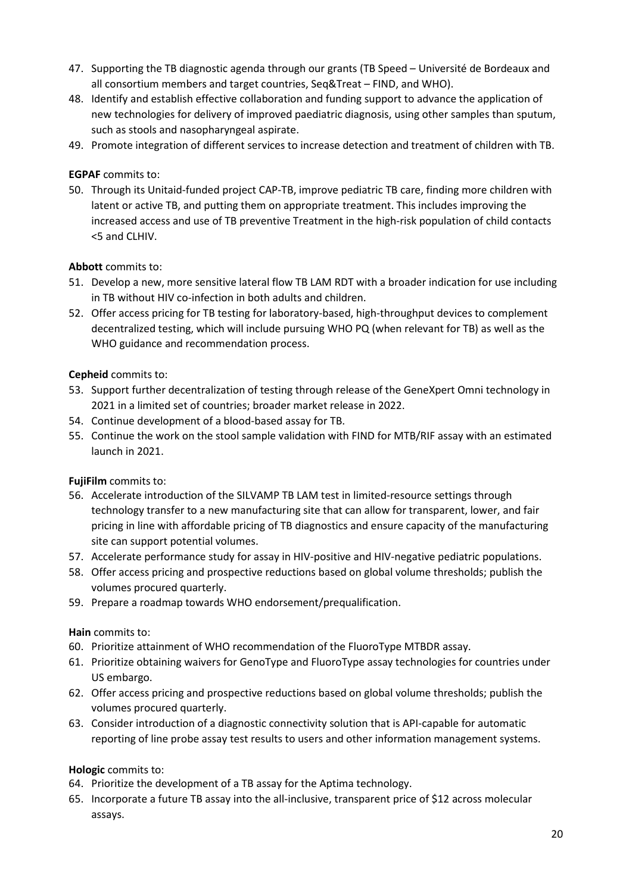- 47. Supporting the TB diagnostic agenda through our grants (TB Speed Université de Bordeaux and all consortium members and target countries, Seq&Treat – FIND, and WHO).
- 48. Identify and establish effective collaboration and funding support to advance the application of new technologies for delivery of improved paediatric diagnosis, using other samples than sputum, such as stools and nasopharyngeal aspirate.
- 49. Promote integration of different services to increase detection and treatment of children with TB.

### **EGPAF** commits to:

50. Through its Unitaid-funded project CAP-TB, improve pediatric TB care, finding more children with latent or active TB, and putting them on appropriate treatment. This includes improving the increased access and use of TB preventive Treatment in the high-risk population of child contacts <5 and CLHIV.

## **Abbott** commits to:

- 51. Develop a new, more sensitive lateral flow TB LAM RDT with a broader indication for use including in TB without HIV co-infection in both adults and children.
- 52. Offer access pricing for TB testing for laboratory-based, high-throughput devices to complement decentralized testing, which will include pursuing WHO PQ (when relevant for TB) as well as the WHO guidance and recommendation process.

## **Cepheid** commits to:

- 53. Support further decentralization of testing through release of the GeneXpert Omni technology in 2021 in a limited set of countries; broader market release in 2022.
- 54. Continue development of a blood-based assay for TB.
- 55. Continue the work on the stool sample validation with FIND for MTB/RIF assay with an estimated launch in 2021.

### **FujiFilm** commits to:

- 56. Accelerate introduction of the SILVAMP TB LAM test in limited-resource settings through technology transfer to a new manufacturing site that can allow for transparent, lower, and fair pricing in line with affordable pricing of TB diagnostics and ensure capacity of the manufacturing site can support potential volumes.
- 57. Accelerate performance study for assay in HIV-positive and HIV-negative pediatric populations.
- 58. Offer access pricing and prospective reductions based on global volume thresholds; publish the volumes procured quarterly.
- 59. Prepare a roadmap towards WHO endorsement/prequalification.

### **Hain** commits to:

- 60. Prioritize attainment of WHO recommendation of the FluoroType MTBDR assay.
- 61. Prioritize obtaining waivers for GenoType and FluoroType assay technologies for countries under US embargo.
- 62. Offer access pricing and prospective reductions based on global volume thresholds; publish the volumes procured quarterly.
- 63. Consider introduction of a diagnostic connectivity solution that is API-capable for automatic reporting of line probe assay test results to users and other information management systems.

### **Hologic** commits to:

- 64. Prioritize the development of a TB assay for the Aptima technology.
- 65. Incorporate a future TB assay into the all-inclusive, transparent price of \$12 across molecular assays.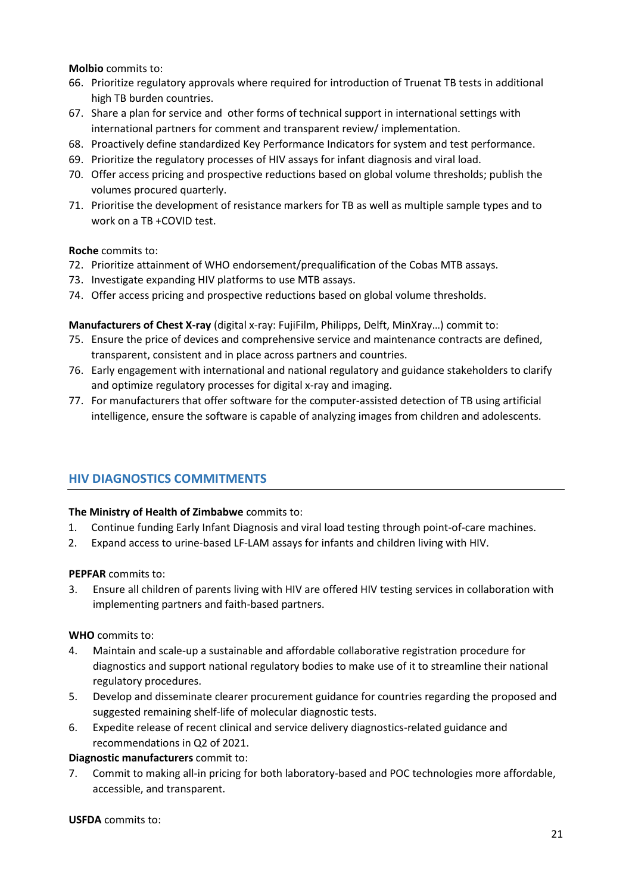**Molbio** commits to:

- 66. Prioritize regulatory approvals where required for introduction of Truenat TB tests in additional high TB burden countries.
- 67. Share a plan for service and other forms of technical support in international settings with international partners for comment and transparent review/ implementation.
- 68. Proactively define standardized Key Performance Indicators for system and test performance.
- 69. Prioritize the regulatory processes of HIV assays for infant diagnosis and viral load.
- 70. Offer access pricing and prospective reductions based on global volume thresholds; publish the volumes procured quarterly.
- 71. Prioritise the development of resistance markers for TB as well as multiple sample types and to work on a TB +COVID test.

**Roche** commits to:

- 72. Prioritize attainment of WHO endorsement/prequalification of the Cobas MTB assays.
- 73. Investigate expanding HIV platforms to use MTB assays.
- 74. Offer access pricing and prospective reductions based on global volume thresholds.

**Manufacturers of Chest X-ray** (digital x-ray: FujiFilm, Philipps, Delft, MinXray…) commit to:

- 75. Ensure the price of devices and comprehensive service and maintenance contracts are defined, transparent, consistent and in place across partners and countries.
- 76. Early engagement with international and national regulatory and guidance stakeholders to clarify and optimize regulatory processes for digital x-ray and imaging.
- 77. For manufacturers that offer software for the computer-assisted detection of TB using artificial intelligence, ensure the software is capable of analyzing images from children and adolescents.

# <span id="page-20-0"></span>**HIV DIAGNOSTICS COMMITMENTS**

### **The Ministry of Health of Zimbabwe** commits to:

- 1. Continue funding Early Infant Diagnosis and viral load testing through point-of-care machines.
- 2. Expand access to urine-based LF-LAM assays for infants and children living with HIV.

### **PEPFAR** commits to:

3. Ensure all children of parents living with HIV are offered HIV testing services in collaboration with implementing partners and faith-based partners.

### **WHO** commits to:

- 4. Maintain and scale-up a sustainable and affordable collaborative registration procedure for diagnostics and support national regulatory bodies to make use of it to streamline their national regulatory procedures.
- 5. Develop and disseminate clearer procurement guidance for countries regarding the proposed and suggested remaining shelf-life of molecular diagnostic tests.
- 6. Expedite release of recent clinical and service delivery diagnostics-related guidance and recommendations in Q2 of 2021.

### **Diagnostic manufacturers** commit to:

7. Commit to making all-in pricing for both laboratory-based and POC technologies more affordable, accessible, and transparent.

#### **USFDA** commits to: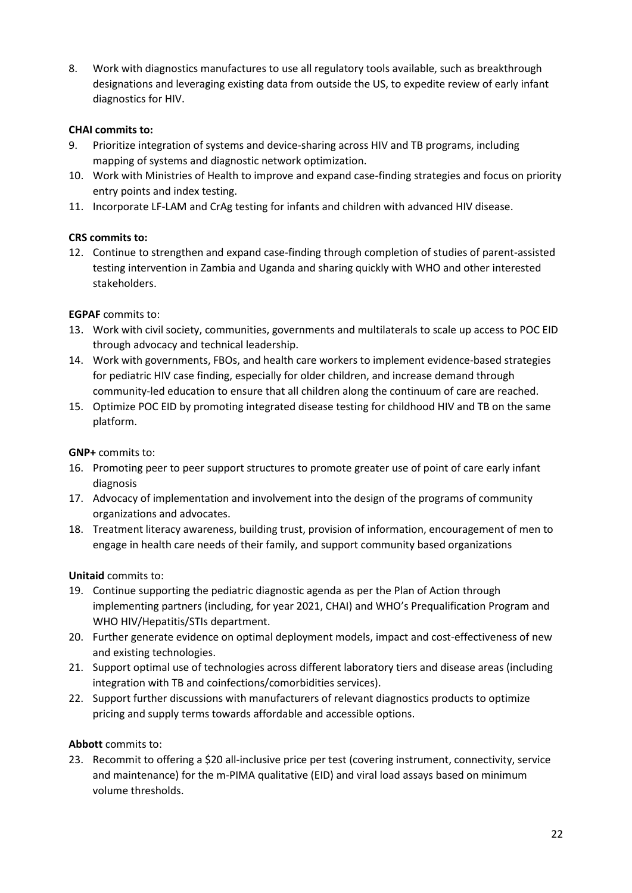8. Work with diagnostics manufactures to use all regulatory tools available, such as breakthrough designations and leveraging existing data from outside the US, to expedite review of early infant diagnostics for HIV.

### **CHAI commits to:**

- 9. Prioritize integration of systems and device-sharing across HIV and TB programs, including mapping of systems and diagnostic network optimization.
- 10. Work with Ministries of Health to improve and expand case-finding strategies and focus on priority entry points and index testing.
- 11. Incorporate LF-LAM and CrAg testing for infants and children with advanced HIV disease.

## **CRS commits to:**

12. Continue to strengthen and expand case-finding through completion of studies of parent-assisted testing intervention in Zambia and Uganda and sharing quickly with WHO and other interested stakeholders.

## **EGPAF** commits to:

- 13. Work with civil society, communities, governments and multilaterals to scale up access to POC EID through advocacy and technical leadership.
- 14. Work with governments, FBOs, and health care workers to implement evidence-based strategies for pediatric HIV case finding, especially for older children, and increase demand through community-led education to ensure that all children along the continuum of care are reached.
- 15. Optimize POC EID by promoting integrated disease testing for childhood HIV and TB on the same platform.

### **GNP+** commits to:

- 16. Promoting peer to peer support structures to promote greater use of point of care early infant diagnosis
- 17. Advocacy of implementation and involvement into the design of the programs of community organizations and advocates.
- 18. Treatment literacy awareness, building trust, provision of information, encouragement of men to engage in health care needs of their family, and support community based organizations

### **Unitaid** commits to:

- 19. Continue supporting the pediatric diagnostic agenda as per the Plan of Action through implementing partners (including, for year 2021, CHAI) and WHO's Prequalification Program and WHO HIV/Hepatitis/STIs department.
- 20. Further generate evidence on optimal deployment models, impact and cost-effectiveness of new and existing technologies.
- 21. Support optimal use of technologies across different laboratory tiers and disease areas (including integration with TB and coinfections/comorbidities services).
- 22. Support further discussions with manufacturers of relevant diagnostics products to optimize pricing and supply terms towards affordable and accessible options.

### **Abbott** commits to:

23. Recommit to offering a \$20 all-inclusive price per test (covering instrument, connectivity, service and maintenance) for the m-PIMA qualitative (EID) and viral load assays based on minimum volume thresholds.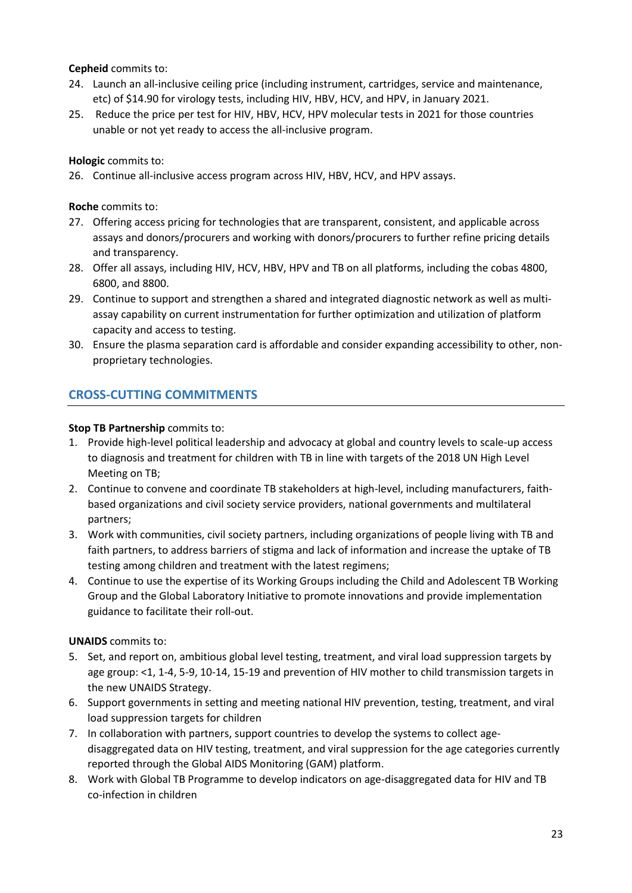**Cepheid** commits to:

- 24. Launch an all-inclusive ceiling price (including instrument, cartridges, service and maintenance, etc) of \$14.90 for virology tests, including HIV, HBV, HCV, and HPV, in January 2021.
- 25. Reduce the price per test for HIV, HBV, HCV, HPV molecular tests in 2021 for those countries unable or not yet ready to access the all-inclusive program.

**Hologic** commits to:

26. Continue all-inclusive access program across HIV, HBV, HCV, and HPV assays.

**Roche** commits to:

- 27. Offering access pricing for technologies that are transparent, consistent, and applicable across assays and donors/procurers and working with donors/procurers to further refine pricing details and transparency.
- 28. Offer all assays, including HIV, HCV, HBV, HPV and TB on all platforms, including the cobas 4800, 6800, and 8800.
- 29. Continue to support and strengthen a shared and integrated diagnostic network as well as multiassay capability on current instrumentation for further optimization and utilization of platform capacity and access to testing.
- 30. Ensure the plasma separation card is affordable and consider expanding accessibility to other, nonproprietary technologies.

# <span id="page-22-0"></span>**CROSS-CUTTING COMMITMENTS**

## **Stop TB Partnership** commits to:

- 1. Provide high-level political leadership and advocacy at global and country levels to scale-up access to diagnosis and treatment for children with TB in line with targets of the 2018 UN High Level Meeting on TB;
- 2. Continue to convene and coordinate TB stakeholders at high-level, including manufacturers, faithbased organizations and civil society service providers, national governments and multilateral partners;
- 3. Work with communities, civil society partners, including organizations of people living with TB and faith partners, to address barriers of stigma and lack of information and increase the uptake of TB testing among children and treatment with the latest regimens;
- 4. Continue to use the expertise of its Working Groups including the Child and Adolescent TB Working Group and the Global Laboratory Initiative to promote innovations and provide implementation guidance to facilitate their roll-out.

**UNAIDS** commits to:

- 5. Set, and report on, ambitious global level testing, treatment, and viral load suppression targets by age group: <1, 1-4, 5-9, 10-14, 15-19 and prevention of HIV mother to child transmission targets in the new UNAIDS Strategy.
- 6. Support governments in setting and meeting national HIV prevention, testing, treatment, and viral load suppression targets for children
- 7. In collaboration with partners, support countries to develop the systems to collect agedisaggregated data on HIV testing, treatment, and viral suppression for the age categories currently reported through the Global AIDS Monitoring (GAM) platform.
- 8. Work with Global TB Programme to develop indicators on age-disaggregated data for HIV and TB co-infection in children